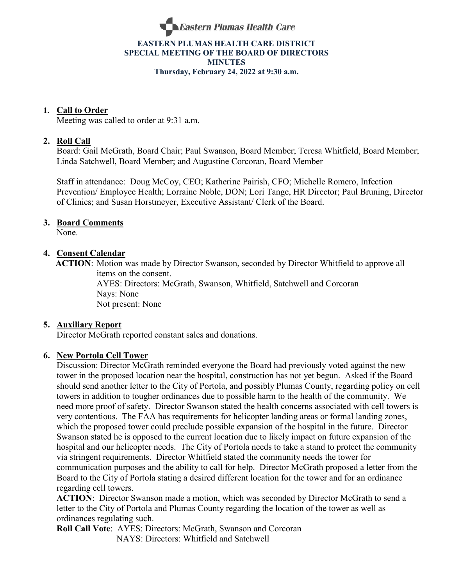

### **EASTERN PLUMAS HEALTH CARE DISTRICT SPECIAL MEETING OF THE BOARD OF DIRECTORS MINUTES Thursday, February 24, 2022 at 9:30 a.m.**

### **1. Call to Order**

Meeting was called to order at 9:31 a.m.

### **2. Roll Call**

Board: Gail McGrath, Board Chair; Paul Swanson, Board Member; Teresa Whitfield, Board Member; Linda Satchwell, Board Member; and Augustine Corcoran, Board Member

Staff in attendance: Doug McCoy, CEO; Katherine Pairish, CFO; Michelle Romero, Infection Prevention/ Employee Health; Lorraine Noble, DON; Lori Tange, HR Director; Paul Bruning, Director of Clinics; and Susan Horstmeyer, Executive Assistant/ Clerk of the Board.

### **3. Board Comments**

None.

### **4. Consent Calendar**

 **ACTION**: Motion was made by Director Swanson, seconded by Director Whitfield to approve all items on the consent.

AYES: Directors: McGrath, Swanson, Whitfield, Satchwell and Corcoran Nays: None Not present: None

### **5. Auxiliary Report**

Director McGrath reported constant sales and donations.

### **6. New Portola Cell Tower**

Discussion: Director McGrath reminded everyone the Board had previously voted against the new tower in the proposed location near the hospital, construction has not yet begun. Asked if the Board should send another letter to the City of Portola, and possibly Plumas County, regarding policy on cell towers in addition to tougher ordinances due to possible harm to the health of the community. We need more proof of safety. Director Swanson stated the health concerns associated with cell towers is very contentious. The FAA has requirements for helicopter landing areas or formal landing zones, which the proposed tower could preclude possible expansion of the hospital in the future. Director Swanson stated he is opposed to the current location due to likely impact on future expansion of the hospital and our helicopter needs. The City of Portola needs to take a stand to protect the community via stringent requirements. Director Whitfield stated the community needs the tower for communication purposes and the ability to call for help. Director McGrath proposed a letter from the Board to the City of Portola stating a desired different location for the tower and for an ordinance regarding cell towers.

**ACTION**: Director Swanson made a motion, which was seconded by Director McGrath to send a letter to the City of Portola and Plumas County regarding the location of the tower as well as ordinances regulating such.

**Roll Call Vote**: AYES: Directors: McGrath, Swanson and Corcoran NAYS: Directors: Whitfield and Satchwell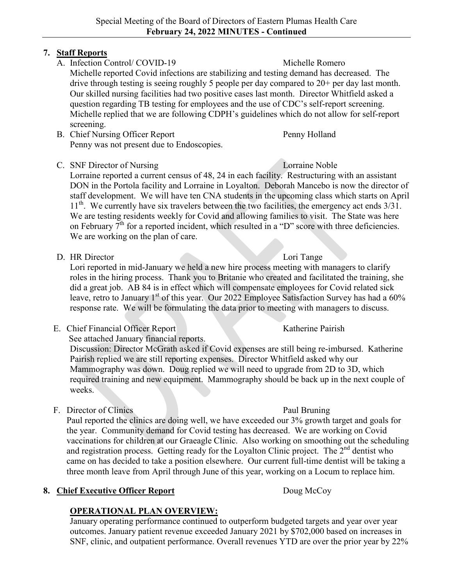## **7. Staff Reports**

A. Infection Control/ COVID-19 Michelle Romero

Michelle reported Covid infections are stabilizing and testing demand has decreased. The drive through testing is seeing roughly 5 people per day compared to 20+ per day last month. Our skilled nursing facilities had two positive cases last month. Director Whitfield asked a question regarding TB testing for employees and the use of CDC's self-report screening. Michelle replied that we are following CDPH's guidelines which do not allow for self-report screening.

- B. Chief Nursing Officer Report Penny Holland Penny was not present due to Endoscopies.
- C. SNF Director of Nursing Lorraine Noble

Lorraine reported a current census of 48, 24 in each facility. Restructuring with an assistant DON in the Portola facility and Lorraine in Loyalton. Deborah Mancebo is now the director of staff development. We will have ten CNA students in the upcoming class which starts on April  $11<sup>th</sup>$ . We currently have six travelers between the two facilities, the emergency act ends  $3/31$ . We are testing residents weekly for Covid and allowing families to visit. The State was here on February  $7<sup>th</sup>$  for a reported incident, which resulted in a "D" score with three deficiencies. We are working on the plan of care.

D. HR Director Lori Tange

Lori reported in mid-January we held a new hire process meeting with managers to clarify roles in the hiring process. Thank you to Britanie who created and facilitated the training, she did a great job. AB 84 is in effect which will compensate employees for Covid related sick leave, retro to January 1<sup>st</sup> of this year. Our 2022 Employee Satisfaction Survey has had a 60% response rate. We will be formulating the data prior to meeting with managers to discuss.

E. Chief Financial Officer Report Katherine Pairish

See attached January financial reports.

Discussion: Director McGrath asked if Covid expenses are still being re-imbursed. Katherine Pairish replied we are still reporting expenses. Director Whitfield asked why our Mammography was down. Doug replied we will need to upgrade from 2D to 3D, which required training and new equipment. Mammography should be back up in the next couple of weeks.

F. Director of Clinics Paul Bruning

Paul reported the clinics are doing well, we have exceeded our 3% growth target and goals for the year. Community demand for Covid testing has decreased. We are working on Covid vaccinations for children at our Graeagle Clinic. Also working on smoothing out the scheduling and registration process. Getting ready for the Loyalton Clinic project. The 2<sup>nd</sup> dentist who came on has decided to take a position elsewhere. Our current full-time dentist will be taking a three month leave from April through June of this year, working on a Locum to replace him.

## **8. Chief Executive Officer Report** Doug McCoy

# **OPERATIONAL PLAN OVERVIEW:**

January operating performance continued to outperform budgeted targets and year over year outcomes. January patient revenue exceeded January 2021 by \$702,000 based on increases in SNF, clinic, and outpatient performance. Overall revenues YTD are over the prior year by 22%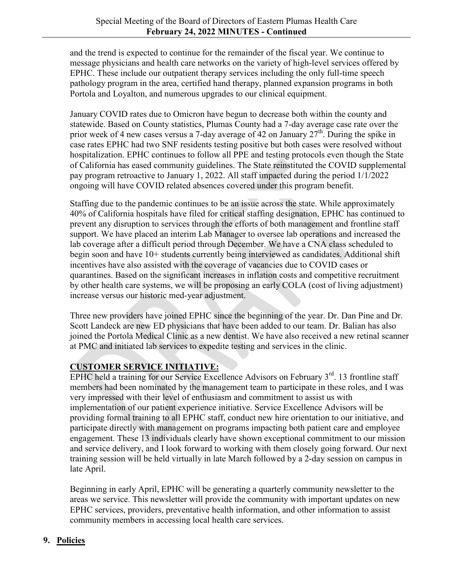and the trend is expected to continue for the remainder of the fiscal year. We continue to message physicians and health care networks on the variety of high-level services offered by EPHC. These include our outpatient therapy services including the only full-time speech pathology program in the area, certified hand therapy, planned expansion programs in both Portola and Loyalton, and numerous upgrades to our clinical equipment.

January COVID rates due to Omicron have begun to decrease both within the county and statewide. Based on County statistics, Plumas County had a 7-day average case rate over the prior week of 4 new cases versus a 7-day average of 42 on January  $27<sup>th</sup>$ . During the spike in case rates EPHC had two SNF residents testing positive but both cases were resolved without hospitalization. EPHC continues to follow all PPE and testing protocols even though the State of California has eased community guidelines. The State reinstituted the COVID supplemental pay program retroactive to January 1, 2022. All staff impacted during the period 1/1/2022 ongoing will have COVID related absences covered under this program benefit.

Staffing due to the pandemic continues to be an issue across the state. While approximately 40% of California hospitals have filed for critical staffing designation, EPHC has continued to prevent any disruption to services through the efforts of both management and frontline staff support. We have placed an interim Lab Manager to oversee lab operations and increased the lab coverage after a difficult period through December. We have a CNA class scheduled to begin soon and have 10+ students currently being interviewed as candidates. Additional shift incentives have also assisted with the coverage of vacancies due to COVID cases or quarantines. Based on the significant increases in inflation costs and competitive recruitment by other health care systems, we will be proposing an early COLA (cost of living adjustment) increase versus our historic med-year adjustment.

Three new providers have joined EPHC since the beginning of the year. Dr. Dan Pine and Dr. Scott Landeck are new ED physicians that have been added to our team. Dr. Balian has also joined the Portola Medical Clinic as a new dentist. We have also received a new retinal scanner at PMC and initiated lab services to expedite testing and services in the clinic.

# **CUSTOMER SERVICE INITIATIVE:**

EPHC held a training for our Service Excellence Advisors on February  $3<sup>rd</sup>$ . 13 frontline staff members had been nominated by the management team to participate in these roles, and I was very impressed with their level of enthusiasm and commitment to assist us with implementation of our patient experience initiative. Service Excellence Advisors will be providing formal training to all EPHC staff, conduct new hire orientation to our initiative, and participate directly with management on programs impacting both patient care and employee engagement. These 13 individuals clearly have shown exceptional commitment to our mission and service delivery, and I look forward to working with them closely going forward. Our next training session will be held virtually in late March followed by a 2-day session on campus in late April.

Beginning in early April, EPHC will be generating a quarterly community newsletter to the areas we service. This newsletter will provide the community with important updates on new EPHC services, providers, preventative health information, and other information to assist community members in accessing local health care services.

## **9. Policies**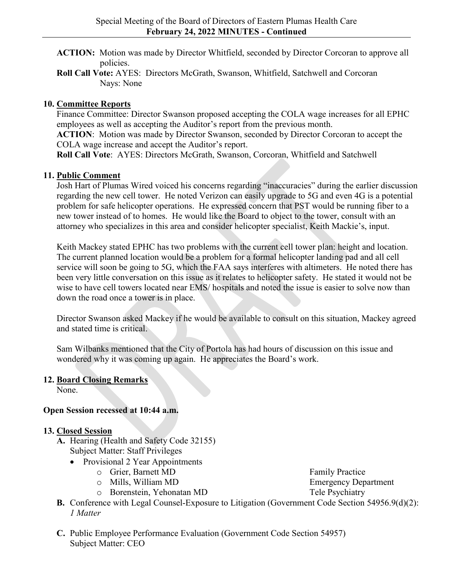- **ACTION:** Motion was made by Director Whitfield, seconded by Director Corcoran to approve all policies.
- **Roll Call Vote:** AYES: Directors McGrath, Swanson, Whitfield, Satchwell and Corcoran Nays: None

## **10. Committee Reports**

Finance Committee: Director Swanson proposed accepting the COLA wage increases for all EPHC employees as well as accepting the Auditor's report from the previous month.

**ACTION**: Motion was made by Director Swanson, seconded by Director Corcoran to accept the COLA wage increase and accept the Auditor's report.

**Roll Call Vote**: AYES: Directors McGrath, Swanson, Corcoran, Whitfield and Satchwell

## **11. Public Comment**

Josh Hart of Plumas Wired voiced his concerns regarding "inaccuracies" during the earlier discussion regarding the new cell tower. He noted Verizon can easily upgrade to 5G and even 4G is a potential problem for safe helicopter operations. He expressed concern that PST would be running fiber to a new tower instead of to homes. He would like the Board to object to the tower, consult with an attorney who specializes in this area and consider helicopter specialist, Keith Mackie's, input.

Keith Mackey stated EPHC has two problems with the current cell tower plan: height and location. The current planned location would be a problem for a formal helicopter landing pad and all cell service will soon be going to 5G, which the FAA says interferes with altimeters. He noted there has been very little conversation on this issue as it relates to helicopter safety. He stated it would not be wise to have cell towers located near EMS/ hospitals and noted the issue is easier to solve now than down the road once a tower is in place.

Director Swanson asked Mackey if he would be available to consult on this situation, Mackey agreed and stated time is critical.

Sam Wilbanks mentioned that the City of Portola has had hours of discussion on this issue and wondered why it was coming up again. He appreciates the Board's work.

## **12. Board Closing Remarks**

None.

## **Open Session recessed at 10:44 a.m.**

## **13. Closed Session**

- **A.** Hearing (Health and Safety Code 32155) Subject Matter: Staff Privileges
	- Provisional 2 Year Appointments
		- -
		- o Borenstein, Yehonatan MD

o Grier, Barnett MD<br>
o Mills. William MD<br>
Family Practice<br>
Emergency Department Emergency Department<br>Tele Psychiatry

- **B.** Conference with Legal Counsel-Exposure to Litigation (Government Code Section 54956.9(d)(2): *1 Matter*
- **C.** Public Employee Performance Evaluation (Government Code Section 54957) Subject Matter: CEO